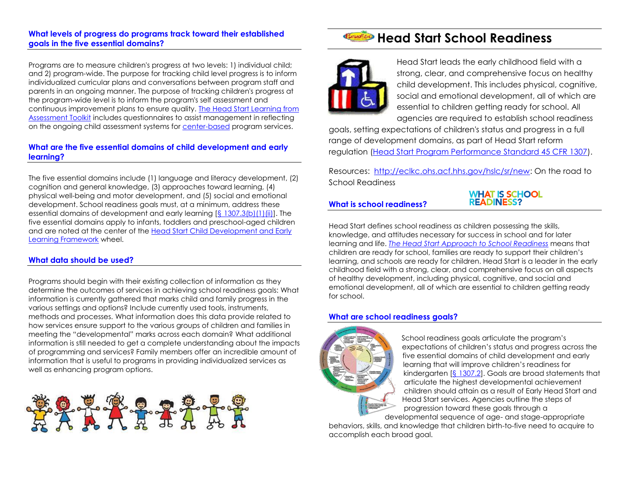#### **[What levels of progress do programs track toward their established](http://eclkc.ohs.acf.hhs.gov/hslc/sr/faq)  [goals in the five essential domains?](http://eclkc.ohs.acf.hhs.gov/hslc/sr/faq)**

Programs are to measure children's progress at two levels: 1) individual child; and 2) program-wide. The purpose for tracking child level progress is to inform individualized curricular plans and conversations between program staff and parents in an ongoing manner. The purpose of tracking children's progress at the program-wide level is to inform the program's self assessment and continuous improvement plans to ensure quality. [The Head Start Learning from](http://eclkc.ohs.acf.hhs.gov/hslc/tta-system/teaching/eecd/Assessment/Ongoing%20Assessment/lfa.html#welcome)  [Assessment Toolkit](http://eclkc.ohs.acf.hhs.gov/hslc/tta-system/teaching/eecd/Assessment/Ongoing%20Assessment/lfa.html#welcome) includes questionnaires to assist management in reflecting on the ongoing child assessment systems for [center-based](http://eclkc.ohs.acf.hhs.gov/hslc/tta-system/teaching/eecd/Assessment/Ongoing%20Assessment/docs/presentations/questionnaire.pdf) program services.

#### **[What are the five essential domains of child development and early](http://eclkc.ohs.acf.hhs.gov/hslc/sr/faq)  [learning?](http://eclkc.ohs.acf.hhs.gov/hslc/sr/faq)**

The five essential domains include (1) language and literacy development, (2) cognition and general knowledge, (3) approaches toward learning, (4) physical well-being and motor development, and (5) social and emotional development. School readiness goals must, at a minimum, address these essential domains of development and early learning  $[\S 1307.3(b)(1)(ii)]$ . The five essential domains apply to infants, toddlers and preschool-aged children and are noted at the center of the [Head Start Child Development and Early](http://eclkc.ohs.acf.hhs.gov/hslc/sr/approach/pdf/OHSApproach-to-School-Readiness_Early-Learning-Framework.pdf)  [Learning Framework](http://eclkc.ohs.acf.hhs.gov/hslc/sr/approach/pdf/OHSApproach-to-School-Readiness_Early-Learning-Framework.pdf) wheel.

#### **[What data should be used?](http://eclkc.ohs.acf.hhs.gov/hslc/sr/faq)**

Programs should begin with their existing collection of information as they determine the outcomes of services in achieving school readiness goals: What information is currently gathered that marks child and family progress in the various settings and options? Include currently used tools, instruments, methods and processes. What information does this data provide related to how services ensure support to the various groups of children and families in meeting the "developmental" marks across each domain? What additional information is still needed to get a complete understanding about the impacts of programming and services? Family members offer an incredible amount of information that is useful to programs in providing individualized services as well as enhancing program options.



## **Head Start School Readiness**



Head Start leads the early childhood field with a strong, clear, and comprehensive focus on healthy child development. This includes physical, cognitive, social and emotional development, all of which are essential to children getting ready for school. All agencies are required to establish school readiness

goals, setting expectations of children's status and progress in a full range of development domains, as part of Head Start reform regulation [\(Head Start Program Performance Standard 45 CFR 1307\)](http://eclkc.ohs.acf.hhs.gov/hslc/standards/Head%20Start%20Requirements/1307).

Resources: [http://eclkc.ohs.acf.hhs.gov/hslc/sr/new:](http://eclkc.ohs.acf.hhs.gov/hslc/sr/new) On the road to School Readiness

#### **[What is school readiness?](http://eclkc.ohs.acf.hhs.gov/hslc/sr/faq)**

**WHAT IS SCHOOL READINESS?** 

Head Start defines school readiness as children possessing the skills, knowledge, and attitudes necessary for success in school and for later learning and life. *[The Head Start Approach to School Readiness](http://eclkc.ohs.acf.hhs.gov/hslc/sr/approach)* means that children are ready for school, families are ready to support their children's learning, and schools are ready for children. Head Start is a leader in the early childhood field with a strong, clear, and comprehensive focus on all aspects of healthy development, including physical, cognitive, and social and emotional development, all of which are essential to children getting ready for school.

#### **[What are school readiness goals?](http://eclkc.ohs.acf.hhs.gov/hslc/sr/faq)**



School readiness goals articulate the program's expectations of children's status and progress across the five essential domains of child development and early learning that will improve children's readiness for kindergarten [\[§ 1307.2\]](http://eclkc.ohs.acf.hhs.gov/hslc/standards/Head%20Start%20Requirements/1307#1307.2). Goals are broad statements that articulate the highest developmental achievement children should attain as a result of Early Head Start and Head Start services. Agencies outline the steps of progression toward these goals through a developmental sequence of age- and stage-appropriate

behaviors, skills, and knowledge that children birth-to-five need to acquire to accomplish each broad goal.